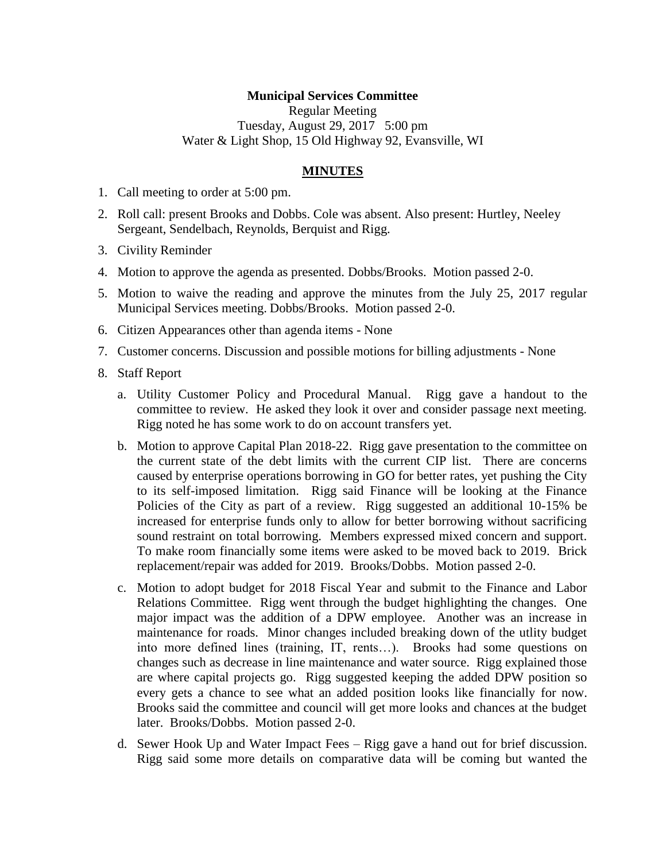## **Municipal Services Committee**

Regular Meeting Tuesday, August 29, 2017 5:00 pm Water & Light Shop, 15 Old Highway 92, Evansville, WI

## **MINUTES**

- 1. Call meeting to order at 5:00 pm.
- 2. Roll call: present Brooks and Dobbs. Cole was absent. Also present: Hurtley, Neeley Sergeant, Sendelbach, Reynolds, Berquist and Rigg.
- 3. Civility Reminder
- 4. Motion to approve the agenda as presented. Dobbs/Brooks. Motion passed 2-0.
- 5. Motion to waive the reading and approve the minutes from the July 25, 2017 regular Municipal Services meeting. Dobbs/Brooks. Motion passed 2-0.
- 6. Citizen Appearances other than agenda items None
- 7. Customer concerns. Discussion and possible motions for billing adjustments None
- 8. Staff Report
	- a. Utility Customer Policy and Procedural Manual. Rigg gave a handout to the committee to review. He asked they look it over and consider passage next meeting. Rigg noted he has some work to do on account transfers yet.
	- b. Motion to approve Capital Plan 2018-22. Rigg gave presentation to the committee on the current state of the debt limits with the current CIP list. There are concerns caused by enterprise operations borrowing in GO for better rates, yet pushing the City to its self-imposed limitation. Rigg said Finance will be looking at the Finance Policies of the City as part of a review. Rigg suggested an additional 10-15% be increased for enterprise funds only to allow for better borrowing without sacrificing sound restraint on total borrowing. Members expressed mixed concern and support. To make room financially some items were asked to be moved back to 2019. Brick replacement/repair was added for 2019. Brooks/Dobbs. Motion passed 2-0.
	- c. Motion to adopt budget for 2018 Fiscal Year and submit to the Finance and Labor Relations Committee. Rigg went through the budget highlighting the changes. One major impact was the addition of a DPW employee. Another was an increase in maintenance for roads. Minor changes included breaking down of the utlity budget into more defined lines (training, IT, rents…). Brooks had some questions on changes such as decrease in line maintenance and water source. Rigg explained those are where capital projects go. Rigg suggested keeping the added DPW position so every gets a chance to see what an added position looks like financially for now. Brooks said the committee and council will get more looks and chances at the budget later. Brooks/Dobbs. Motion passed 2-0.
	- d. Sewer Hook Up and Water Impact Fees Rigg gave a hand out for brief discussion. Rigg said some more details on comparative data will be coming but wanted the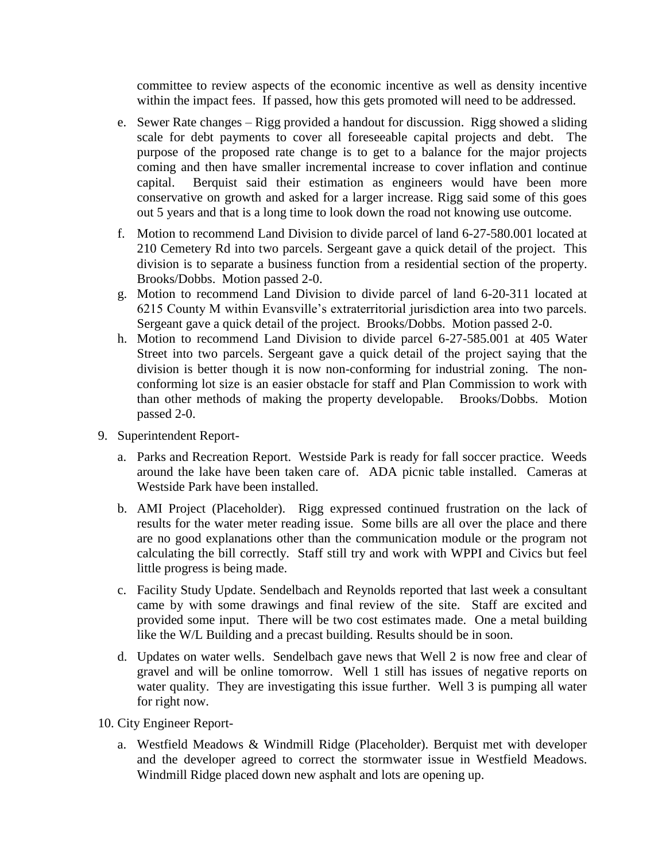committee to review aspects of the economic incentive as well as density incentive within the impact fees. If passed, how this gets promoted will need to be addressed.

- e. Sewer Rate changes Rigg provided a handout for discussion. Rigg showed a sliding scale for debt payments to cover all foreseeable capital projects and debt. The purpose of the proposed rate change is to get to a balance for the major projects coming and then have smaller incremental increase to cover inflation and continue capital. Berquist said their estimation as engineers would have been more conservative on growth and asked for a larger increase. Rigg said some of this goes out 5 years and that is a long time to look down the road not knowing use outcome.
- f. Motion to recommend Land Division to divide parcel of land 6-27-580.001 located at 210 Cemetery Rd into two parcels. Sergeant gave a quick detail of the project. This division is to separate a business function from a residential section of the property. Brooks/Dobbs. Motion passed 2-0.
- g. Motion to recommend Land Division to divide parcel of land 6-20-311 located at 6215 County M within Evansville's extraterritorial jurisdiction area into two parcels. Sergeant gave a quick detail of the project. Brooks/Dobbs. Motion passed 2-0.
- h. Motion to recommend Land Division to divide parcel 6-27-585.001 at 405 Water Street into two parcels. Sergeant gave a quick detail of the project saying that the division is better though it is now non-conforming for industrial zoning. The nonconforming lot size is an easier obstacle for staff and Plan Commission to work with than other methods of making the property developable. Brooks/Dobbs. Motion passed 2-0.
- 9. Superintendent Report
	- a. Parks and Recreation Report. Westside Park is ready for fall soccer practice. Weeds around the lake have been taken care of. ADA picnic table installed. Cameras at Westside Park have been installed.
	- b. AMI Project (Placeholder). Rigg expressed continued frustration on the lack of results for the water meter reading issue. Some bills are all over the place and there are no good explanations other than the communication module or the program not calculating the bill correctly. Staff still try and work with WPPI and Civics but feel little progress is being made.
	- c. Facility Study Update. Sendelbach and Reynolds reported that last week a consultant came by with some drawings and final review of the site. Staff are excited and provided some input. There will be two cost estimates made. One a metal building like the W/L Building and a precast building. Results should be in soon.
	- d. Updates on water wells. Sendelbach gave news that Well 2 is now free and clear of gravel and will be online tomorrow. Well 1 still has issues of negative reports on water quality. They are investigating this issue further. Well 3 is pumping all water for right now.
- 10. City Engineer Report
	- a. Westfield Meadows & Windmill Ridge (Placeholder). Berquist met with developer and the developer agreed to correct the stormwater issue in Westfield Meadows. Windmill Ridge placed down new asphalt and lots are opening up.